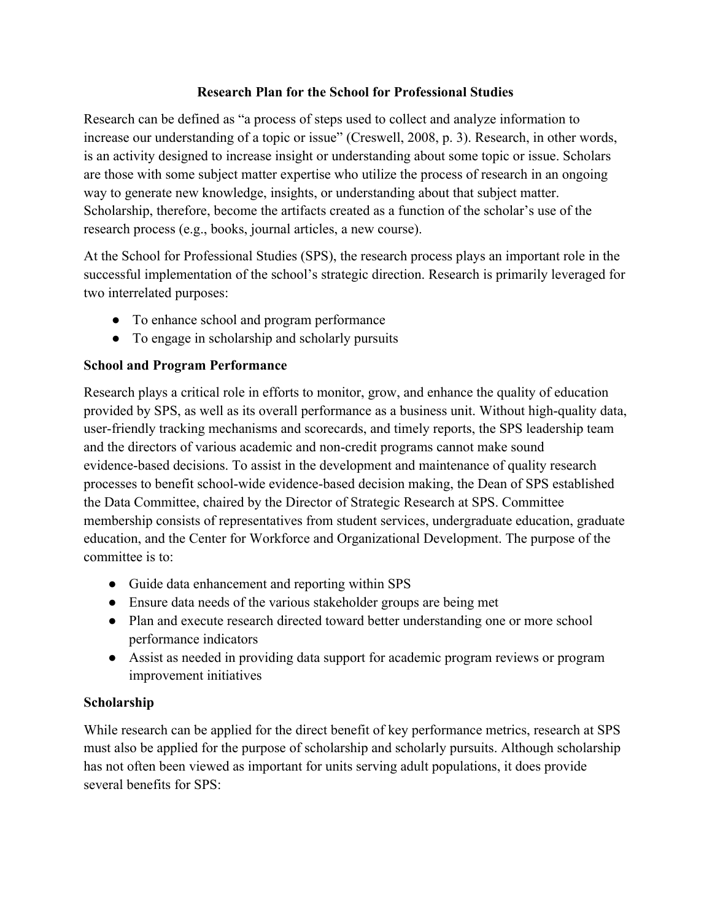### **Research Plan for the School for Professional Studies**

Research can be defined as "a process of steps used to collect and analyze information to increase our understanding of a topic or issue" (Creswell, 2008, p. 3). Research, in other words, is an activity designed to increase insight or understanding about some topic or issue. Scholars are those with some subject matter expertise who utilize the process of research in an ongoing way to generate new knowledge, insights, or understanding about that subject matter. Scholarship, therefore, become the artifacts created as a function of the scholar's use of the research process (e.g., books, journal articles, a new course).

At the School for Professional Studies (SPS), the research process plays an important role in the successful implementation of the school's strategic direction. Research is primarily leveraged for two interrelated purposes:

- To enhance school and program performance
- To engage in scholarship and scholarly pursuits

# **School and Program Performance**

Research plays a critical role in efforts to monitor, grow, and enhance the quality of education provided by SPS, as well as its overall performance as a business unit. Without high-quality data, user-friendly tracking mechanisms and scorecards, and timely reports, the SPS leadership team and the directors of various academic and non-credit programs cannot make sound evidence-based decisions. To assist in the development and maintenance of quality research processes to benefit school-wide evidence-based decision making, the Dean of SPS established the Data Committee, chaired by the Director of Strategic Research at SPS. Committee membership consists of representatives from student services, undergraduate education, graduate education, and the Center for Workforce and Organizational Development. The purpose of the committee is to:

- Guide data enhancement and reporting within SPS
- Ensure data needs of the various stakeholder groups are being met
- Plan and execute research directed toward better understanding one or more school performance indicators
- Assist as needed in providing data support for academic program reviews or program improvement initiatives

# **Scholarship**

While research can be applied for the direct benefit of key performance metrics, research at SPS must also be applied for the purpose of scholarship and scholarly pursuits. Although scholarship has not often been viewed as important for units serving adult populations, it does provide several benefits for SPS: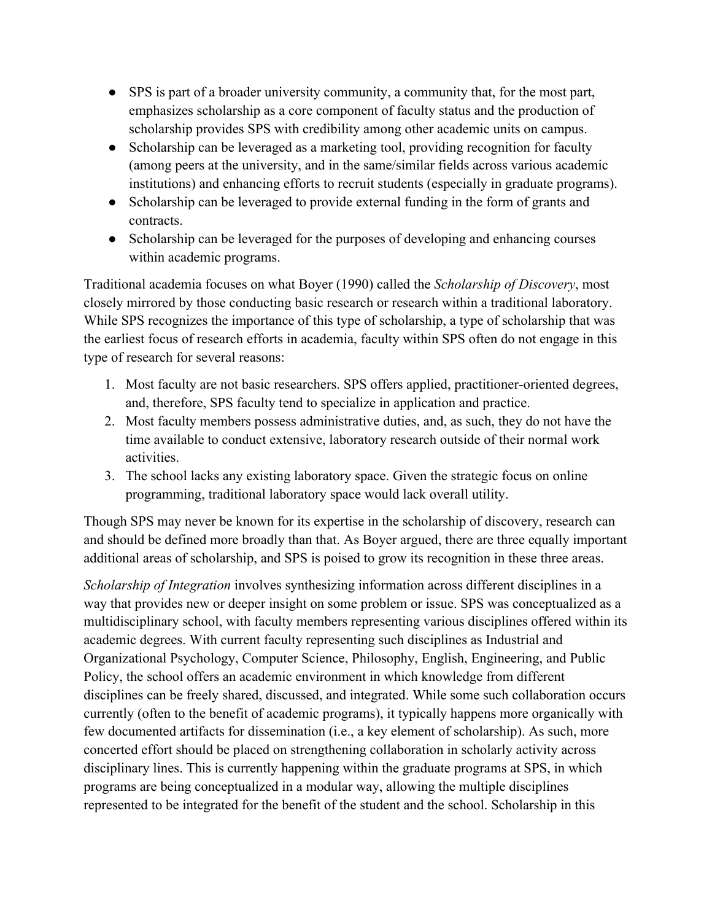- SPS is part of a broader university community, a community that, for the most part, emphasizes scholarship as a core component of faculty status and the production of scholarship provides SPS with credibility among other academic units on campus.
- Scholarship can be leveraged as a marketing tool, providing recognition for faculty (among peers at the university, and in the same/similar fields across various academic institutions) and enhancing efforts to recruit students (especially in graduate programs).
- Scholarship can be leveraged to provide external funding in the form of grants and contracts.
- Scholarship can be leveraged for the purposes of developing and enhancing courses within academic programs.

Traditional academia focuses on what Boyer (1990) called the *Scholarship of Discovery*, most closely mirrored by those conducting basic research or research within a traditional laboratory. While SPS recognizes the importance of this type of scholarship, a type of scholarship that was the earliest focus of research efforts in academia, faculty within SPS often do not engage in this type of research for several reasons:

- 1. Most faculty are not basic researchers. SPS offers applied, practitioner-oriented degrees, and, therefore, SPS faculty tend to specialize in application and practice.
- 2. Most faculty members possess administrative duties, and, as such, they do not have the time available to conduct extensive, laboratory research outside of their normal work activities.
- 3. The school lacks any existing laboratory space. Given the strategic focus on online programming, traditional laboratory space would lack overall utility.

Though SPS may never be known for its expertise in the scholarship of discovery, research can and should be defined more broadly than that. As Boyer argued, there are three equally important additional areas of scholarship, and SPS is poised to grow its recognition in these three areas.

*Scholarship of Integration* involves synthesizing information across different disciplines in a way that provides new or deeper insight on some problem or issue. SPS was conceptualized as a multidisciplinary school, with faculty members representing various disciplines offered within its academic degrees. With current faculty representing such disciplines as Industrial and Organizational Psychology, Computer Science, Philosophy, English, Engineering, and Public Policy, the school offers an academic environment in which knowledge from different disciplines can be freely shared, discussed, and integrated. While some such collaboration occurs currently (often to the benefit of academic programs), it typically happens more organically with few documented artifacts for dissemination (i.e., a key element of scholarship). As such, more concerted effort should be placed on strengthening collaboration in scholarly activity across disciplinary lines. This is currently happening within the graduate programs at SPS, in which programs are being conceptualized in a modular way, allowing the multiple disciplines represented to be integrated for the benefit of the student and the school. Scholarship in this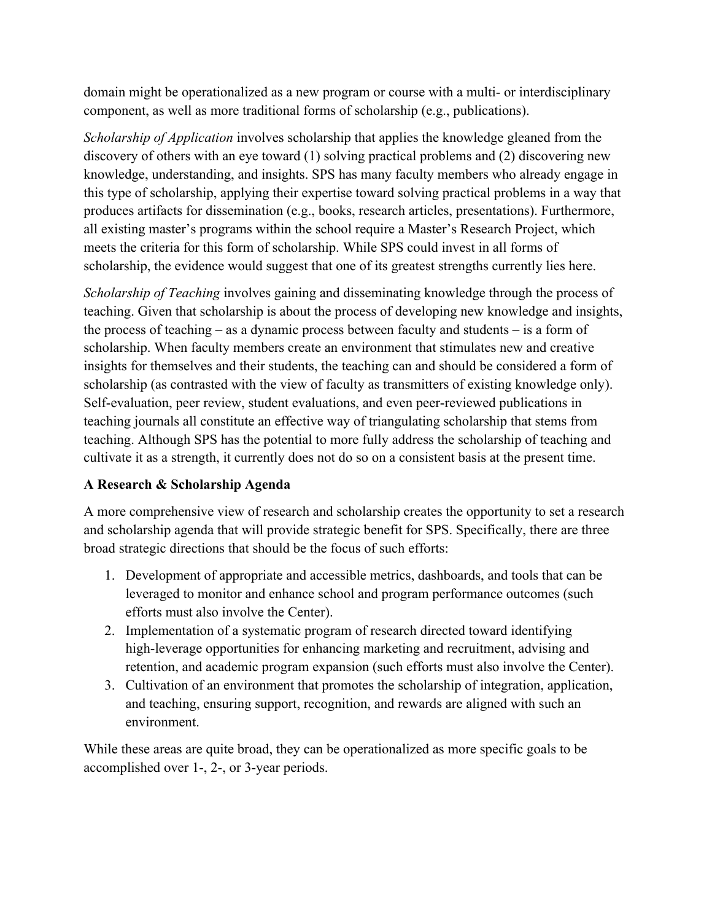domain might be operationalized as a new program or course with a multi- or interdisciplinary component, as well as more traditional forms of scholarship (e.g., publications).

*Scholarship of Application* involves scholarship that applies the knowledge gleaned from the discovery of others with an eye toward (1) solving practical problems and (2) discovering new knowledge, understanding, and insights. SPS has many faculty members who already engage in this type of scholarship, applying their expertise toward solving practical problems in a way that produces artifacts for dissemination (e.g., books, research articles, presentations). Furthermore, all existing master's programs within the school require a Master's Research Project, which meets the criteria for this form of scholarship. While SPS could invest in all forms of scholarship, the evidence would suggest that one of its greatest strengths currently lies here.

*Scholarship of Teaching* involves gaining and disseminating knowledge through the process of teaching. Given that scholarship is about the process of developing new knowledge and insights, the process of teaching – as a dynamic process between faculty and students – is a form of scholarship. When faculty members create an environment that stimulates new and creative insights for themselves and their students, the teaching can and should be considered a form of scholarship (as contrasted with the view of faculty as transmitters of existing knowledge only). Self-evaluation, peer review, student evaluations, and even peer-reviewed publications in teaching journals all constitute an effective way of triangulating scholarship that stems from teaching. Although SPS has the potential to more fully address the scholarship of teaching and cultivate it as a strength, it currently does not do so on a consistent basis at the present time.

# **A Research & Scholarship Agenda**

A more comprehensive view of research and scholarship creates the opportunity to set a research and scholarship agenda that will provide strategic benefit for SPS. Specifically, there are three broad strategic directions that should be the focus of such efforts:

- 1. Development of appropriate and accessible metrics, dashboards, and tools that can be leveraged to monitor and enhance school and program performance outcomes (such efforts must also involve the Center).
- 2. Implementation of a systematic program of research directed toward identifying high-leverage opportunities for enhancing marketing and recruitment, advising and retention, and academic program expansion (such efforts must also involve the Center).
- 3. Cultivation of an environment that promotes the scholarship of integration, application, and teaching, ensuring support, recognition, and rewards are aligned with such an environment.

While these areas are quite broad, they can be operationalized as more specific goals to be accomplished over 1-, 2-, or 3-year periods.